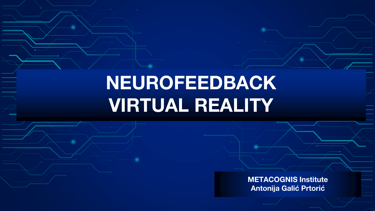# <span id="page-0-0"></span>**NEUROFEEDBACK VIRTUAL REALITY**

**METACOGNIS Institute Antonija Galić Prtorić**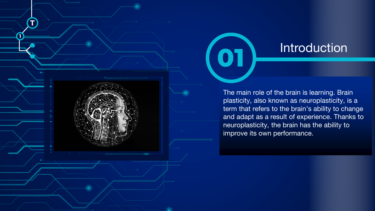

<span id="page-1-0"></span>**T**

ے<br>ا

**[1](#page-1-0)**

## **Introduction**

The main role of the brain is learning. Brain plasticity, also known as neuroplasticity, is a term that refers to the brain's ability to change and adapt as a result of experience. Thanks to neuroplasticity, the brain has the ability to improve its own performance.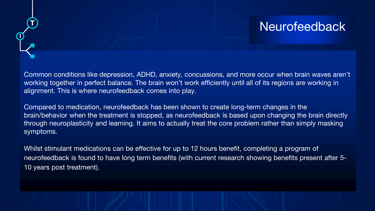## **Neurofeedback**

Common conditions like depression, ADHD, anxiety, concussions, and more occur when brain waves aren't working together in perfect balance. The brain won't work efficiently until all of its regions are working in alignment. This is where neurofeedback comes into play.

<span id="page-2-0"></span>**T**

E

**[1](#page-1-0)**

Compared to medication, neurofeedback has been shown to create long-term changes in the brain/behavior when the treatment is stopped, as neurofeedback is based upon changing the brain directly through neuroplasticity and learning. It aims to actually treat the core problem rather than simply masking symptoms.

Whilst stimulant medications can be effective for up to 12 hours benefit, completing a program of neurofeedback is found to have long term benefits (with current research showing benefits present after 5- 10 years post treatment).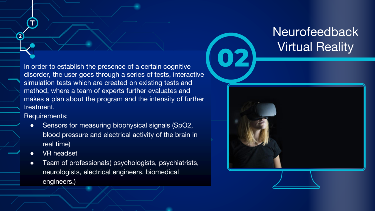In order to establish the presence of a certain cognitive **02** disorder, the user goes through a series of tests, interactive simulation tests which are created on existing tests and method, where a team of experts further evaluates and makes a plan about the program and the intensity of further treatment.

Requirements:

<span id="page-3-0"></span>**[T](#page-3-0)**

E

**[2](#page-1-0)**

- Sensors for measuring biophysical signals (SpO2, blood pressure and electrical activity of the brain in real time)
- **VR** headset
- Team of professionals( psychologists, psychiatrists, neurologists, electrical engineers, biomedical engineers.)

## Neurofeedback Virtual Reality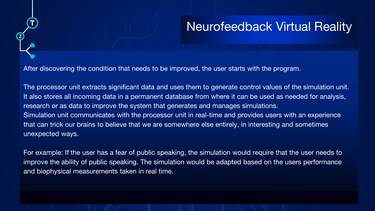# Neurofeedback Virtual Reality

After discovering the condition that needs to be improved, the user starts with the program.

<span id="page-4-0"></span>**T**

E

**[2](#page-1-0)**

The processor unit extracts significant data and uses them to generate control values of the simulation unit. It also stores all incoming data in a permanent database from where it can be used as needed for analysis, research or as data to improve the system that generates and manages simulations. Simulation unit communicates with the processor unit in real-time and provides users with an experience that can trick our brains to believe that we are somewhere else entirely, in interesting and sometimes unexpected ways.

For example: If the user has a fear of public speaking, the simulation would require that the user needs to improve the ability of public speaking. The simulation would be adapted based on the users performance and biophysical measurements taken in real time.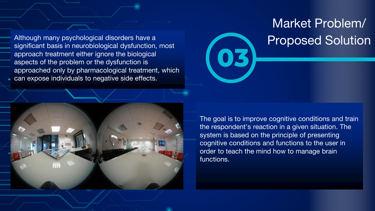<span id="page-5-0"></span>Although many psychological disorders have a significant basis in neurobiological dysfunction, most approach treatment either ignore the biological aspects of the problem or the dysfunction is approached only by pharmacological treatment, which can expose individuals to negative side effects.

# Market Problem/ Proposed Solution



The goal is to improve cognitive conditions and train the respondent's reaction in a given situation. The system is based on the principle of presenting cognitive conditions and functions to the user in order to teach the mind how to manage brain functions.

**03**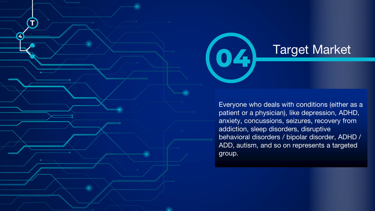



## Target Market **04**

Everyone who deals with conditions (either as a patient or a physician), like depression, ADHD, anxiety, concussions, seizures, recovery from addiction, sleep disorders, disruptive behavioral disorders / bipolar disorder, ADHD / ADD, autism, and so on represents a targeted group.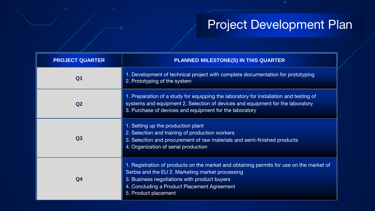## Project Development Plan

<span id="page-7-0"></span>

| <b>PROJECT QUARTER</b> | <b>PLANNED MILESTONE(S) IN THIS QUARTER</b>                                                                                                                                                                                                                         |
|------------------------|---------------------------------------------------------------------------------------------------------------------------------------------------------------------------------------------------------------------------------------------------------------------|
| Q1                     | 1. Development of technical project with complete documentation for prototyping<br>2. Prototyping of the system                                                                                                                                                     |
| Q <sub>2</sub>         | 1. Preparation of a study for equipping the laboratory for installation and testing of<br>systems and equipment 2. Selection of devices and equipment for the laboratory<br>3. Purchase of devices and equipment for the laboratory                                 |
| Q <sub>3</sub>         | 1. Setting up the production plant<br>2. Selection and training of production workers<br>3. Selection and procurement of raw materials and semi-finished products<br>4. Organization of serial production                                                           |
| Q <sub>4</sub>         | 1. Registration of products on the market and obtaining permits for use on the market of<br>Serbia and the EU 2. Marketing market processing<br>3. Business negotiations with product buyers<br>4. Concluding a Product Placement Agreement<br>5. Product placement |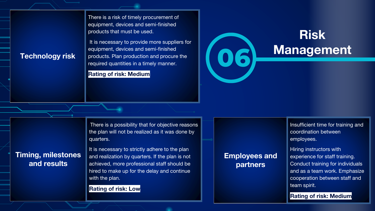There is a risk of timely procurement of equipment, devices and semi-finished products that must be used.

Technology risk **Products. Plan production and procure the required quantities in a timely manner.** It is necessary to provide more suppliers for equipment, devices and semi-finished products. Plan production and procure the required quantities in a timely manner.

**Rating of risk: Medium**

# **Risk**

There is a possibility that for objective reasons the plan will not be realized as it was done by quarters.

**Timing, milestones and results**

It is necessary to strictly adhere to the plan and realization by quarters. If the plan is not achieved, more professional staff should be hired to make up for the delay and continue with the plan.

**Rating of risk: Low**

#### **Employees and partners**

Insufficient time for training and coordination between employees.

Hiring instructors with experience for staff training. Conduct training for individuals and as a team work. Emphasize cooperation between staff and team spirit.

**Rating of risk: Medium**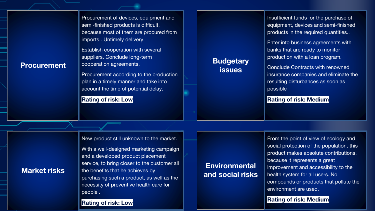Procurement of devices, equipment and semi-finished products is difficult, because most of them are procured from imports.. Untimely delivery.

Establish cooperation with several suppliers. Conclude long-term cooperation agreements.

Procurement according to the production plan in a timely manner and take into account the time of potential delay.

#### **Rating of risk: Low**

#### **Budgetary issues**

Insufficient funds for the purchase of equipment, devices and semi-finished products in the required quantities..

Enter into business agreements with banks that are ready to monitor production with a loan program.

Conclude Contracts with renowned insurance companies and eliminate the resulting disturbances as soon as possible

#### **Rating of risk: Medium**

New product still unknown to the market.

With a well-designed marketing campaign and a developed product placement service, to bring closer to the customer all the benefits that he achieves by purchasing such a product, as well as the necessity of preventive health care for people .

#### **Rating of risk: Low**

### **Environmental and social risks**

From the point of view of ecology and social protection of the population, this product makes absolute contributions, because it represents a great improvement and accessibility to the health system for all users. No compounds or products that pollute the environment are used.

#### **Rating of risk: Medium**

**Market risks** 

**Procurement**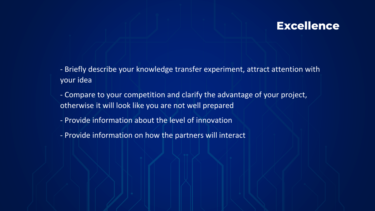## **Excellence**

- Briefly describe your knowledge transfer experiment, attract attention with your idea
- Compare to your competition and clarify the advantage of your project, otherwise it will look like you are not well prepared
- Provide information about the level of innovation
- Provide information on how the partners will interact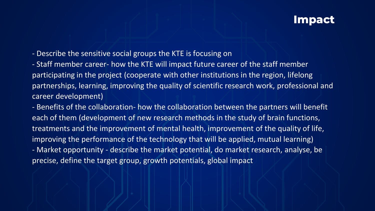### **Impact**

- Describe the sensitive social groups the KTE is focusing on
- Staff member career- how the KTE will impact future career of the staff member participating in the project (cooperate with other institutions in the region, lifelong partnerships, learning, improving the quality of scientific research work, professional and career development)

- Benefits of the collaboration- how the collaboration between the partners will benefit each of them (development of new research methods in the study of brain functions, treatments and the improvement of mental health, improvement of the quality of life, improving the performance of the technology that will be applied, mutual learning) - Market opportunity - describe the market potential, do market research, analyse, be precise, define the target group, growth potentials, global impact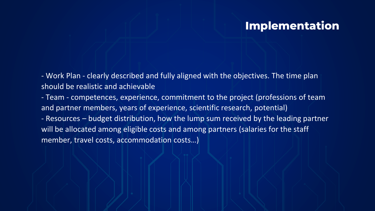## **Implementation**

<span id="page-12-0"></span>- Work Plan - clearly described and fully aligned with the objectives. The time plan should be realistic and achievable

- Team - competences, experience, commitment to the project (professions of team and partner members, years of experience, scientific research, potential) - Resources – budget distribution, how the lump sum received by the leading partner will be allocated among eligible costs and among partners (salaries for the staff member, travel costs, accommodation costs…)